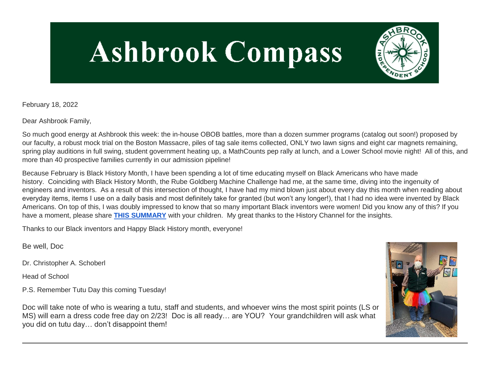# **Ashbrook Compass**



February 18, 2022

Dear Ashbrook Family,

So much good energy at Ashbrook this week: the in-house OBOB battles, more than a dozen summer programs (catalog out soon!) proposed by our faculty, a robust mock trial on the Boston Massacre, piles of tag sale items collected, ONLY two lawn signs and eight car magnets remaining, spring play auditions in full swing, student government heating up, a MathCounts pep rally at lunch, and a Lower School movie night! All of this, and more than 40 prospective families currently in our admission pipeline!

Because February is Black History Month, I have been spending a lot of time educating myself on Black Americans who have made history. Coinciding with Black History Month, the Rube Goldberg Machine Challenge had me, at the same time, diving into the ingenuity of engineers and inventors. As a result of this intersection of thought, I have had my mind blown just about every day this month when reading about everyday items, items I use on a daily basis and most definitely take for granted (but won't any longer!), that I had no idea were invented by Black Americans. On top of this, I was doubly impressed to know that so many important Black inventors were women! Did you know any of this? If you have a moment, please share **[THIS SUMMARY](http://link.mystudentsprogress.com/ls/click?upn=VpBe6Z9t6RkEC4qAoQCerkRqVNRJCi4SE2bZPjoSvlyC4UPJX-2F9jg9oWlSvnrvUoARi6bd6-2FEY0pqIxQfZkb-2B9DeNJ0VlKsvjh9q3Z7-2Bmj-2BauL7xr9DF1UWTgR3movyw3SAitvA5J2KQFMwZM-2F-2F5TQ-3D-3Dd5e1_1PndbFfBoQGSZbxwXHHEexw3B2F0fG-2BUmuXm6a-2BX-2Bzvpqt-2FeicRHTWJwkUSXG61c5eaIPLFbM7TazIgWRx654F33HDWko3k3GfHcEoiMDx6l2UX0Vgg6ogKNwm5FqIrPVDQ67Hk9hQYiU8-2BP1R9yxVs8-2BYn08sXnhrvw5wLu-2FmxnqDTYkaIxnwKjuVDTU-2Bp-2FQyjZHou7R2IGSfAJCNr-2BlPwroiJcKY7PbgeqoNCuk5OhcMXYCGfhRxt4b7aK-2BZsV2Wkvyp1mSIkBLynAybLj-2B2ndDxLi2Pl1bVUfB08Sp6MvbGJu7r3yN-2Fex6IZ4TNcIMySAoiBLaGqe1XLzXmxlMIjr2-2FsSyDHy5E-2Faqm9LdoXoadPy3QjRr1uOOxP-2FMJj-2B-2B1JgKblVEXqmtn3UkyDC8FO0zDeSsVGkUxfee8c-2Fvpx3rnT0fE68LdskKz2VSbT9)** with your children. My great thanks to the History Channel for the insights.

Thanks to our Black inventors and Happy Black History month, everyone!

Be well, Doc

Dr. Christopher A. Schoberl

Head of School

P.S. Remember Tutu Day this coming Tuesday!

Doc will take note of who is wearing a tutu, staff and students, and whoever wins the most spirit points (LS or MS) will earn a dress code free day on 2/23! Doc is all ready… are YOU? Your grandchildren will ask what you did on tutu day… don't disappoint them!

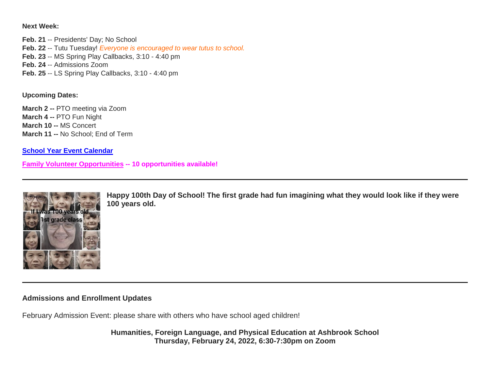**Next Week:**

**Feb. 21** -- Presidents' Day; No School **Feb. 22** -- Tutu Tuesday! *Everyone is encouraged to wear tutus to school.* **Feb. 23** -- MS Spring Play Callbacks, 3:10 - 4:40 pm **Feb. 24** -- Admissions Zoom **Feb. 25** -- LS Spring Play Callbacks, 3:10 - 4:40 pm

**Upcoming Dates:**

**March 2 --** PTO meeting via Zoom **March 4 --** PTO Fun Night **March 10 --** MS Concert **March 11 --** No School; End of Term

**[School Year Event Calendar](http://link.mystudentsprogress.com/ls/click?upn=n7jYKe39nC4PrVAw2BzaOolgU5XUleaJ61qfvNJxTW3uoi8RFzNYUfSc1qXdqajA34djZWrxIBJBxzp2whbybvqIYp3dDOkCDgKesziBdCm1u7J5UB6bwQicng-2BhFj8jm5vDG0tBEB0sO-2FO3RXilW8Csk5oOSfGUUXvh5WSdqhvDojIY5znyF-2BOYIJP1WK6BvEZt_1PndbFfBoQGSZbxwXHHEexw3B2F0fG-2BUmuXm6a-2BX-2Bzvpqt-2FeicRHTWJwkUSXG61c5eaIPLFbM7TazIgWRx654B92ypPuicW6HtoW7mfpPFsAGrBpDSI5k0ElE91a521VQ1fZyLF7zmm0PXKmd9MHydL1p2jhrvdYs59e3FDbZyK9pNGdsiE9cdYzPGZrrY-2BThkYgS5dQZp4P87m8gG1dkFDuuQZgY-2B4f-2BMi8WdqnWluF80d6Dk5Qty5dqlakCKD81-2BRmlh6SBmacu6msFWq5eNsH-2FWsWI4y0E6JKmDP6Y1CdTtkPO3A6lg4-2BxQ3UTvG7uY-2FF6p-2F3DQryyQfcjoHJ-2F036fRyUU8coeCnoJYAHwTutv9K6IdLtTK7rN3mzuZaQhPGMSjK3mitnuk0nxBmQKVCee4oiK0G5LCnfV-2FOBEb2gm7SsdB0rctG7uZofieDV)**

**[Family Volunteer Opportunities](http://link.mystudentsprogress.com/ls/click?upn=VpBe6Z9t6RkEC4qAoQCerkRqVNRJCi4SE2bZPjoSvlxSlLFpfnUYhuutAutUGnBh84nj-2BJvhJlx1K1dJMDDqBY1qLZ1O0nCcHebienBZj-2BKxsXBin-2FugM50Q-2FqN8cLG3Urd1ZQzGcMWtkFleXRzacA-3D-3DmqAm_1PndbFfBoQGSZbxwXHHEexw3B2F0fG-2BUmuXm6a-2BX-2Bzvpqt-2FeicRHTWJwkUSXG61c5eaIPLFbM7TazIgWRx654N0sIwdOMG2wEm0T30-2F9KV3vcpue5zTJb0nZYsGo3DBo-2F7V7j60uRODxUR-2FCm3Gi75puUR-2BG29alU8JwkC2dY-2BvD-2FbNPTrc6c9Nb2HJnHZ1aoR2iVozSnbr1Lf6ko-2BLLc8Y6djGj2lfwy7ebgdWvJRIz91gpeZIV3vhbBvqFRKwN-2Fxcg1ydgS2Av-2BSj7Ilqh-2FQ3TMOQrzkbohPNU5wSNPWIz-2FVXoqYfHrY91fmtMBWdFHiEjv7mRBlkVFbvRvhDAF7oEz4LRegmBU3IkmsAh1uvPsGemLXhqdGDzDrN2bd33crIVgvc0gPszVtgWIRvDd73o7ok8E6KNUex-2FY3Ssj7KDAWAW8-2FluIcUmTsxSEOn9) -- 10 opportunities available!**



**Happy 100th Day of School! The first grade had fun imagining what they would look like if they were 100 years old.**

## **Admissions and Enrollment Updates**

February Admission Event: please share with others who have school aged children!

**Humanities, Foreign Language, and Physical Education at Ashbrook School Thursday, February 24, 2022, 6:30-7:30pm on Zoom**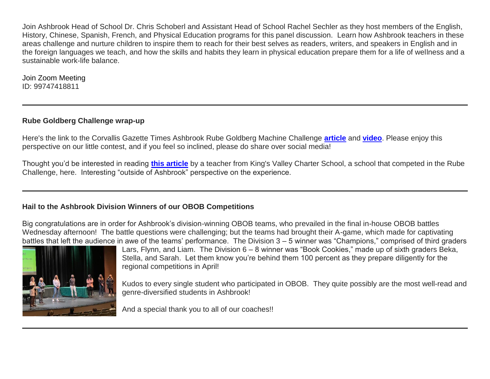Join Ashbrook Head of School Dr. Chris Schoberl and Assistant Head of School Rachel Sechler as they host members of the English, History, Chinese, Spanish, French, and Physical Education programs for this panel discussion. Learn how Ashbrook teachers in these areas challenge and nurture children to inspire them to reach for their best selves as readers, writers, and speakers in English and in the foreign languages we teach, and how the skills and habits they learn in physical education prepare them for a life of wellness and a sustainable work-life balance.

Join Zoom Meeting ID: 99747418811

# **Rube Goldberg Challenge wrap-up**

Here's the link to the Corvallis Gazette Times Ashbrook Rube Goldberg Machine Challenge **[article](http://link.mystudentsprogress.com/ls/click?upn=5XDbAd9r0ovG7GZusFBG8DqXBLJjK-2B065CPDFMQUfyjNxMzyzA-2FH6xHLRzpVmh4c3D2-2FT2YsAVTdhIKt4nPGOg6VVLsTyecPc5VB6NfO-2FsLqzprOo8MCkle0Isy7-2FNyaNyCxpxLSgkzSQXsGotQLyDBb7zpPxR8OIU0kOqXe7JWETuxX0jiM1ytZzlgiivJdfxOQbBJlAMl9Es8vm8fNm0AQlmgIDDguAMpZrluoS79tcIXPUbKDTCt1Lo4ZEcvF8M-2BIgjYg9MrM-2Bh2EOXYbcw-3D-3DWTZU_1PndbFfBoQGSZbxwXHHEexw3B2F0fG-2BUmuXm6a-2BX-2Bzvpqt-2FeicRHTWJwkUSXG61c5eaIPLFbM7TazIgWRx654Hy2sZTg0s09Xgol8qOvH-2B4nE0plR1ceT-2BwKLRUt6dFx5h8RL7SV110pAd-2FiZqAbSWc0QAyQyx0aCSb4QG89I1J5L7VogHyTj30gfrHCwrQqlbIsQInyVeJeOt6ZNXFSaIR3W96Z-2FXpaPhAGsig5iL9m1mCaurwAy-2BDpCqtWlfaroAyI0UVRuN-2FEC-2Fhft6QzhHU-2FW5LbL8QQwQl06bMNu65nadjquMCTL8ce7OVJJr3HTBDIcAnTYqM5UiQ-2FcBaFyre6dgQoRDHBnxaqDNiC-2BPFvjPqTRt9PF0fwedQz23w-2BTq5jXD6rNjGwn-2FUqSZfSv-2FyGN7BmBU3osBEdbWT18uqqag0AK-2B3Fk0cJtmLtiTh3)** and **[video](http://link.mystudentsprogress.com/ls/click?upn=5XDbAd9r0ovG7GZusFBG8DqXBLJjK-2B065CPDFMQUfygNcxQXM8esXdp4DbIyoVkAQtl1qW3a-2BpXEUCeJl9CL1EM9sUEkfj7VFAFCXTDKaF-2FyUfFAI1qshzEbTwfFg9WW38HynfQJY8dPGcdYPWoRguYon-2Ff98v8chRuIkSQm5AB6dPeRcLgPtUH8ynstL-2FpUrsqSObY77k5mzGMyCZvLiQ-3D-3DeksE_1PndbFfBoQGSZbxwXHHEexw3B2F0fG-2BUmuXm6a-2BX-2Bzvpqt-2FeicRHTWJwkUSXG61c5eaIPLFbM7TazIgWRx654A79rxpc-2B6F9rfF5S8HfNA3Hu3BzU5GFjYUDhTQJoIXzV33tgqxPNeoFKNyD64nFxUIlwMT7Uy2XeJhTrdc94OXHnDk0Qq6ZhL-2BCl4BaomjIsBr2LstNtaiIP4brhM-2Fr0OT6JjsEGOOr7zVjKfHVWBlTBf3uZDUpt3MSJKATFn2StlCYGlEk7nQSqQ5Sptk8aubDnT9axEr6Y-2F7m-2FbVrkJEUANG-2FukcS1MC5KSPHrU5nTi4k3Jr-2BTyQ-2BJNUgBQ3zZXgl2oS5ht4-2FNkyF4d0h3KMw4R1AV-2F-2FM1ra3cpurvMrE35H5xjanudXJtrTAvjDmPercpe58Qld4XLEVF-2Fdjm4kBd-2FCvaEnwfbByuRr-2F6-2FuX)**. Please enjoy this perspective on our little contest, and if you feel so inclined, please do share over social media!

Thought you'd be interested in reading **[this article](http://link.mystudentsprogress.com/ls/click?upn=VpBe6Z9t6RkEC4qAoQCerkRqVNRJCi4SE2bZPjoSvlzIt7GjenAh-2Fde-2BtMv5ugRxM532Hl37xnY5N2wuYWjj3fnFFI4K-2FzLROkLdPOWKYT9I1wYTL6jAV4MFLHrtD5siP1Fm0aoaXzHSEBhLR437YQ6GvIoauRHl8WFbvvb88TKjxnRMFC1isOEwFQY8XA1rpypI_1PndbFfBoQGSZbxwXHHEexw3B2F0fG-2BUmuXm6a-2BX-2Bzvpqt-2FeicRHTWJwkUSXG61c5eaIPLFbM7TazIgWRx654JJcCwAcZE2dGrgKtHFcOMNNyCgUjs25kHBm3AAfDgPN3klkALEzaQpSiSYii4qF-2B0iKN5xR56tdnfMskLpPigxWp7jk1FN-2F5wA3Ud0aBDRImodTxep51YsLQtgaxxsL7d5tmrSm3EWeIV2JngCv2AKCN6XO51VzCh5Bm4oaaBR3S4Y-2Bc57UOzyob78DF-2FZkXx0Wqx6nc-2FJSxx1Xar-2FGhIM-2FztTQYF2dUFgiqKPhFEjNNP0i7xZoqkDHmzfGUVXhFcdHlkAq39eqC8KNTaJALGRRrOh21fJNgmChg68MfFBl-2BczFOm-2FFrj-2BWw7BLSHcLExfJ3eenzI72UDjQgMRsznbrQkxESOw0-2BxCX14yb-2BYXx)** by a teacher from King's Valley Charter School, a school that competed in the Rube Challenge, here. Interesting "outside of Ashbrook" perspective on the experience.

## **Hail to the Ashbrook Division Winners of our OBOB Competitions**

Big congratulations are in order for Ashbrook's division-winning OBOB teams, who prevailed in the final in-house OBOB battles Wednesday afternoon! The battle questions were challenging; but the teams had brought their A-game, which made for captivating battles that left the audience in awe of the teams' performance. The Division 3 – 5 winner was "Champions," comprised of third graders



Lars, Flynn, and Liam. The Division 6 – 8 winner was "Book Cookies," made up of sixth graders Beka, Stella, and Sarah. Let them know you're behind them 100 percent as they prepare diligently for the regional competitions in April!

Kudos to every single student who participated in OBOB. They quite possibly are the most well-read and genre-diversified students in Ashbrook!

And a special thank you to all of our coaches!!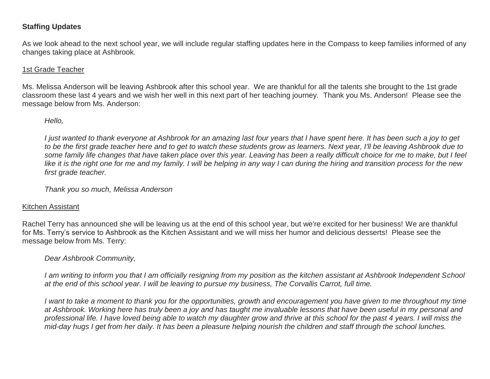# **Staffing Updates**

As we look ahead to the next school year, we will include regular staffing updates here in the Compass to keep families informed of any changes taking place at Ashbrook.

## 1st Grade Teacher

Ms. Melissa Anderson will be leaving Ashbrook after this school year. We are thankful for all the talents she brought to the 1st grade classroom these last 4 years and we wish her well in this next part of her teaching journey. Thank you Ms. Anderson! Please see the message below from Ms. Anderson:

## *Hello,*

*I just wanted to thank everyone at Ashbrook for an amazing last four years that I have spent here. It has been such a joy to get to be the first grade teacher here and to get to watch these students grow as learners. Next year, I'll be leaving Ashbrook due to some family life changes that have taken place over this year. Leaving has been a really difficult choice for me to make, but I feel like it is the right one for me and my family. I will be helping in any way I can during the hiring and transition process for the new first grade teacher.*

*Thank you so much, Melissa Anderson*

## Kitchen Assistant

Rachel Terry has announced she will be leaving us at the end of this school year, but we're excited for her business! We are thankful for Ms. Terry's service to Ashbrook as the Kitchen Assistant and we will miss her humor and delicious desserts! Please see the message below from Ms. Terry:

## *Dear Ashbrook Community,*

*I am writing to inform you that I am officially resigning from my position as the kitchen assistant at Ashbrook Independent School at the end of this school year. I will be leaving to pursue my business, The Corvallis Carrot, full time.*

*I want to take a moment to thank you for the opportunities, growth and encouragement you have given to me throughout my time at Ashbrook. Working here has truly been a joy and has taught me invaluable lessons that have been useful in my personal and professional life. I have loved being able to watch my daughter grow and thrive at this school for the past 4 years. I will miss the mid-day hugs I get from her daily. It has been a pleasure helping nourish the children and staff through the school lunches.*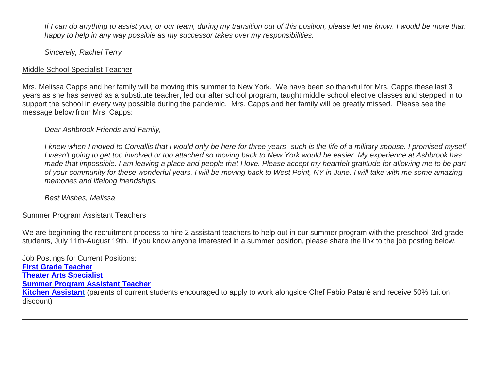*If I can do anything to assist you, or our team, during my transition out of this position, please let me know. I would be more than happy to help in any way possible as my successor takes over my responsibilities.*

*Sincerely, Rachel Terry*

## Middle School Specialist Teacher

Mrs. Melissa Capps and her family will be moving this summer to New York. We have been so thankful for Mrs. Capps these last 3 years as she has served as a substitute teacher, led our after school program, taught middle school elective classes and stepped in to support the school in every way possible during the pandemic. Mrs. Capps and her family will be greatly missed. Please see the message below from Mrs. Capps:

# *Dear Ashbrook Friends and Family,*

*I knew when I moved to Corvallis that I would only be here for three years--such is the life of a military spouse. I promised myself I wasn't going to get too involved or too attached so moving back to New York would be easier. My experience at Ashbrook has made that impossible. I am leaving a place and people that I love. Please accept my heartfelt gratitude for allowing me to be part of your community for these wonderful years. I will be moving back to West Point, NY in June. I will take with me some amazing memories and lifelong friendships.*

*Best Wishes, Melissa*

## Summer Program Assistant Teachers

We are beginning the recruitment process to hire 2 assistant teachers to help out in our summer program with the preschool-3rd grade students, July 11th-August 19th. If you know anyone interested in a summer position, please share the link to the job posting below.

Job Postings for Current Positions: **First Grade [Teacher](http://link.mystudentsprogress.com/ls/click?upn=flJ18ETPhCbNgmfSZO-2FamzYtOTBVcI9OPqDnIkqnt5Qmq6a4rOASMgt1ALGncL3otbxa1MDLbNrQl3ChqJI2RQ-3D-3D0rzI_1PndbFfBoQGSZbxwXHHEexw3B2F0fG-2BUmuXm6a-2BX-2Bzvpqt-2FeicRHTWJwkUSXG61c5eaIPLFbM7TazIgWRx654DpcHqAgRgCxOFe7N4zp19f9c4pXFeL7FHDW8eC9ovTnEQg2ZV-2Bb1dLd6iUW-2F3bUVVTdcADohj3-2FWEdOQG5ecuGFXPUxMMGjeJAU95PPDBSUrM2UV6Bl-2BNDjSKJU1VOICvhnkF7Ks5Lg3iB41LQl3ms1Tp-2B3zbG4yp8ylwIPiqN94tEFWeVPhyFv5SmPgVoQJG0WSYiT3ldt850lg6iPt2HXk5rkSCnlqPhz37eUe1L0R3GsCX7AqA8T5TVytCO7bI45gMHOE7raFZRRMfoc3QL55qubaJLvloYbctmyvh-2BM58km8DykmGY8oAK6H4Fq-2FpMnBDE4H5uDhPRlVpXegcLQ-2BaiUgsVG1gq-2Fl21rgh2R) Theater Arts [Specialist](http://link.mystudentsprogress.com/ls/click?upn=flJ18ETPhCbNgmfSZO-2FamzYtOTBVcI9OPqDnIkqnt5Qmq6a4rOASMgt1ALGncL3oz7LQmF5oMWSMYrnzALmVXg-3D-3DQdYT_1PndbFfBoQGSZbxwXHHEexw3B2F0fG-2BUmuXm6a-2BX-2Bzvpqt-2FeicRHTWJwkUSXG61c5eaIPLFbM7TazIgWRx654K5h9bCNYWltBNOQ4ze3pebPLsW6BIjIQSp7kv6iD41UhrYHCPLeMxfyDx2TE8u9hiWzvyuzhBDJfqnBu5oGHdlGRycqdLAIkgvTgIrGDWiuxBRRgsc9txP2TOxEPu-2FZXyKAgzp2OMl-2FWVPKIvUUmGmq6-2Bs77QL0B65Jgq0wHrP2YQtzI3O-2BoT5A2tRRK3IBzFAjFxGZfviVligKP4Sys3dMi5bBOYNob5r8u74f6k3liCMAOD59mIUnm3mfDS-2Br1BdmB5dvgBkHxyjy-2FLrVD5Q-2FJhn63MCMTdL-2BI5yTtYYq7WJ2rCB17oo8wVaOdpvIfE4rGR4HaBA2FpxS-2BS1QMOpo4Snh9I3lTOIdaJjyClt9) Summer Program [Assistant](http://link.mystudentsprogress.com/ls/click?upn=flJ18ETPhCbNgmfSZO-2FamzYtOTBVcI9OPqDnIkqnt5Qmq6a4rOASMgt1ALGncL3oadflgrTWmU2BE-2FAco-2BFRdQ-3D-3DVil4_1PndbFfBoQGSZbxwXHHEexw3B2F0fG-2BUmuXm6a-2BX-2Bzvpqt-2FeicRHTWJwkUSXG61c5eaIPLFbM7TazIgWRx654PTcYibcc5IfJdDr967MgbHvBG12-2Bp5bb5CO20XPhNWN-2BgN4KVP4jbZMcoPzPniHjkneBaNz5Bg31KUPoMrFTo7ZsSbed4AcWsE1ThYsbQdIFn2WUlltJhcS-2FPzOWq8FXvBVCv1y5Ekah61M2PA23efG9sCDYKr19NNfxIFCOA2CRVs2AEd6D7kikfAZtRFQ9nnsG50PofGL-2FaJy3ABLP2SZjZq-2Fp1hnuNsJll5iOj1F61ISawd4LSGkTj9h4ezqo4scbePENdWgNNbjMCTZlYoCmQYwZgPuqVfUZtCSbwcGR7UhAbFLq5ugU9ErNb4g9DZCn-2FRUg9knT-2BY4ysNkp0AKUYsinTmwUF9a-2BfrbYu0h) Teacher [Kitchen Assistant](http://link.mystudentsprogress.com/ls/click?upn=flJ18ETPhCbNgmfSZO-2FamzYtOTBVcI9OPqDnIkqnt5Qmq6a4rOASMgt1ALGncL3oOpSIKt7kSMJ72kKajhl-2FZw-3D-3DTqZz_1PndbFfBoQGSZbxwXHHEexw3B2F0fG-2BUmuXm6a-2BX-2Bzvpqt-2FeicRHTWJwkUSXG61c5eaIPLFbM7TazIgWRx654Bh49G9jDePxkvNNFwezhoCl-2F3ZE9NxKrpK-2FOZJdFENRL6flfr6qKzpHBcyR5ZZIeWH3bbDiaNB3k0d2IK0hYr6qguju4tlMsCt2OJfI-2BnxybL60tdHjYuSYWsv8aX708l222hL9f-2FrRopiiTdY-2FQSyhBsF3rZWSwwtmE3DiOCvAOj2q9omo-2FCKcfvxyxdYNdp3wwubHGUfmThc86taXXPCB-2BGiEhLAJBql6tWiZmEz38ZuIaoO7q53bkLfNYSBSwF6GoPpul3y7Whnu25oF4X0RhY2o-2BbA0I2oWTPBssd2XgTVQ-2BbV6nkD6MxVDGgp2QmqKhJTQqOeMdJekDgb-2FEgOTjbnUJ5o98ChNKzRS95rh)** (parents of current students encouraged to apply to work alongside Chef Fabio Patanè and receive 50% tuition discount)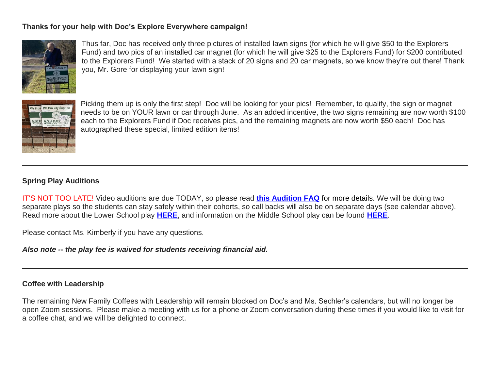# **Thanks for your help with Doc's Explore Everywhere campaign!**



Thus far, Doc has received only three pictures of installed lawn signs (for which he will give \$50 to the Explorers Fund) and two pics of an installed car magnet (for which he will give \$25 to the Explorers Fund) for \$200 contributed to the Explorers Fund! We started with a stack of 20 signs and 20 car magnets, so we know they're out there! Thank you, Mr. Gore for displaying your lawn sign!



Picking them up is only the first step! Doc will be looking for your pics! Remember, to qualify, the sign or magnet needs to be on YOUR lawn or car through June. As an added incentive, the two signs remaining are now worth \$100 each to the Explorers Fund if Doc receives pics, and the remaining magnets are now worth \$50 each! Doc has autographed these special, limited edition items!

## **Spring Play Auditions**

IT'S NOT TOO LATE! Video auditions are due TODAY, so please read **[this Audition FAQ](http://link.mystudentsprogress.com/ls/click?upn=VpBe6Z9t6RkEC4qAoQCerkRqVNRJCi4SE2bZPjoSvlxLaAy4C8kvUSQGKX5WXVA-2BkD7Xx4JKSlqvpxRwPUcI4jFpcMZ4LalsuDrhBCQS-2FloKmipGCKiwqKAGve0T5Px7TS3pkWo9WScEXcO-2FJmqB-2Fg-3D-3DSFFy_1PndbFfBoQGSZbxwXHHEexw3B2F0fG-2BUmuXm6a-2BX-2Bzvpqt-2FeicRHTWJwkUSXG61c5eaIPLFbM7TazIgWRx654JZiUFFwr2HVDp0K-2BtpCDRnGRDhDuYYsb7QkDmFTZ6-2FDX2Qw6gCovPgxeHyL2tHZ2jX-2F5WRrKaqD9Xn-2FUC-2BfKfjHIRZF82MJQKYMe8lcTWneEycgZY8QPRx5oYJ8b4KmwCGkMPfrE9l-2B0epyI0YbYeQ3BCfSm4Za8Paz1e7gpbEo8rp3Uq3x2DwgByp6DbZIwBhHgqPdCiYSHeDgqeMok56NBLacdt0IsGCmsh-2BorwFaa0JYvfdvij4q-2Bb1-2F6CkyBM6aaGqr2hZMU7WvPWGvGC2ncmI-2FDxgMi-2BMcDqLFiIH5fm13mXgh57-2FJoEUPdczVG9egN-2B-2Fgvmsq4COe2UF6w-2FI6JVHO1osTbToa-2BYM8BOD5)** for more details. We will be doing two separate plays so the students can stay safely within their cohorts, so call backs will also be on separate days (see calendar above). Read more about the Lower School play **[HERE](http://link.mystudentsprogress.com/ls/click?upn=VpBe6Z9t6RkEC4qAoQCerkRqVNRJCi4SE2bZPjoSvlxz-2B26uMf0AdZPJXdJMv-2FsPgQUVOBeHlYZHlzB83-2B-2FWbHGydqcQJkUOhJnEoQZON8-2FNyVDJQEN7-2FD-2Fi1aI99xU9IcseNhW1ASL2i1KbVPpcnQ-3D-3DjYQu_1PndbFfBoQGSZbxwXHHEexw3B2F0fG-2BUmuXm6a-2BX-2Bzvpqt-2FeicRHTWJwkUSXG61c5eaIPLFbM7TazIgWRx654Lct6O8xtceoaRNBsxfLWlD8n-2B8yp-2Ft6ceA-2BszB-2Bo2gPEUUPZQJypf7yAsHbQ2LbVvKaQtdwpDLHBgR-2BoOAv6C5MNAL3fJodyUnz4jOS6Mxr6QVlNPevPyXC-2BqBN1uB3Wb2KRyTXSQ0lW-2Fu8ieWcUGRnvXuTUWyKAdi3iOjQGxok8EiQn2-2FOGcaVZfoKWS9obHXTSEna0ZhCMckStfNDxYP4UkcXCUB-2Fp8-2BN6RA7xf9A8ZYTh-2FKl4Tzh3T6-2FGrCQP9QfVl1atAvnOzzzoX05jIYBWlOFQMPZkcGsQQ2NmQnsrn4NHkzNy8Nwbr1tYjM2ihJGim0iSkRegBmS4VBb-2BHMKy7-2FXOxrD-2FD1lDrO5RtxQ)**, and information on the Middle School play can be found **[HERE](http://link.mystudentsprogress.com/ls/click?upn=VpBe6Z9t6RkEC4qAoQCerkRqVNRJCi4SE2bZPjoSvlxb9jGwyOOQ0riBsjDrfk3vXgA-2FW38xH-2FXIp6N7Hzfqws6Y0EBynW62ZZWoGD8jdNq3FALrdH4-2B1GXnThTc9Gmgj5rFJRBmRD-2B3f0TfQFj-2FfQ-3D-3D5-h2_1PndbFfBoQGSZbxwXHHEexw3B2F0fG-2BUmuXm6a-2BX-2Bzvpqt-2FeicRHTWJwkUSXG61c5eaIPLFbM7TazIgWRx654IX7rn0X5uRwts8yFaJ6Mmd3opoGL8DYj7ZM-2F3Xo6NBJ0W9yAbruzq2wv93P1oIbdVl5IHg-2F8Va4PU-2FLXA4JTjSEsggXvhpZ2A32R0UOtCybJiMRBjaLbt3slYeqzqG-2BGZVuQkNbQMaXtuXsSYzRREM-2Fj-2BOkWoD8b9elamEg86hEbJpOlRiVzaK7s8yzpuDKrhmk4EaZiiYgfz8qwaUGqYF1S7hdjbcE5O-2FommDU1r4-2F2Jyeps8PdYEmoAzNbti6L6JSDhaoOrJvFBGHk6M1nAoEpShiohdf3h8v5sSPTVNFfzmb4O1RULukevhV9iXcRkkjyHllr7rtKUJFrhHcEc32NlvU8NucYsV9KFHy60Tc)**.

Please contact Ms. Kimberly if you have any questions.

*Also note -- the play fee is waived for students receiving financial aid.*

## **Coffee with Leadership**

The remaining New Family Coffees with Leadership will remain blocked on Doc's and Ms. Sechler's calendars, but will no longer be open Zoom sessions. Please make a meeting with us for a phone or Zoom conversation during these times if you would like to visit for a coffee chat, and we will be delighted to connect.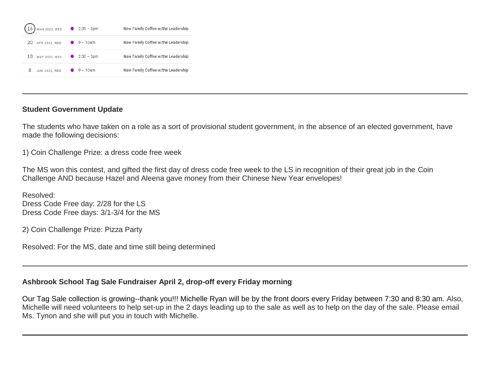

## **Student Government Update**

The students who have taken on a role as a sort of provisional student government, in the absence of an elected government, have made the following decisions:

1) Coin Challenge Prize: a dress code free week

The MS won this contest, and gifted the first day of dress code free week to the LS in recognition of their great job in the Coin Challenge AND because Hazel and Aleena gave money from their Chinese New Year envelopes!

Resolved: Dress Code Free day: 2/28 for the LS Dress Code Free days: 3/1-3/4 for the MS

2) Coin Challenge Prize: Pizza Party

Resolved: For the MS, date and time still being determined

# **Ashbrook School Tag Sale Fundraiser April 2, drop-off every Friday morning**

Our Tag Sale collection is growing--thank you!!! Michelle Ryan will be by the front doors every Friday between 7:30 and 8:30 am. Also, Michelle will need volunteers to help set-up in the 2 days leading up to the sale as well as to help on the day of the sale. Please email Ms. Tynon and she will put you in touch with Michelle.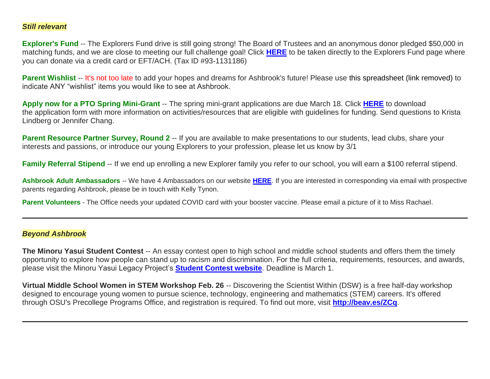#### *Still relevant*

**Explorer's Fund** -- The Explorers Fund drive is still going strong! The Board of Trustees and an anonymous donor pledged \$50,000 in matching funds, and we are close to meeting our full challenge goal! Click **[HERE](http://link.mystudentsprogress.com/ls/click?upn=5XDbAd9r0ovG7GZusFBG8PaUF78UqItDelTGdwk7Y5YuTzHCPAjU3puEFCesf3czmLI6pjYvXrYopLnNSPnw-2Fg-3D-3Dy-cw_1PndbFfBoQGSZbxwXHHEexw3B2F0fG-2BUmuXm6a-2BX-2Bzvpqt-2FeicRHTWJwkUSXG61c5eaIPLFbM7TazIgWRx654ClO8tvTU-2B1AOCuqvs4By4AWJ5rguihnatMPXAZX-2BeHnRjOdzHBdbjBr2x-2Fdq-2FKNYn-2BwUDJK0HhXAdCx6EyaqQSsySvZ6dvne25Q0XR9NMugB29ym-2BbOsgD63r1BuQxHb4Rl4qw35Zhg8Fb6iAPSdU1yb4Z7en8-2BQS9q8RhNeLrEK0xR6husxDGJNaYURv0r6tRNUr4bbWQf8-2BHcT2eT2jmMgKpUtoftR2c8OdW5Fpwhb6f47rjL9l6U-2FNu1FYmmCyGg9Ub1lYv9zC71-2FJ6t68L509nt-2FJVGPEBoawwkmxtYghWJJfQlBIH-2Fbc2mXceKsbIZMHPXNdUx0VqNrmub5gjGkHI4ktkh7v8rqFwyXmC4)** to be taken directly to the Explorers Fund page where you can donate via a credit card or EFT/ACH. (Tax ID #93-1131186)

**Parent Wishlist** -- It's not too late to add your hopes and dreams for Ashbrook's future! Please use this spreadsheet (link removed) to indicate ANY "wishlist" items you would like to see at Ashbrook.

**Apply now for a PTO Spring Mini-Grant** -- The spring mini-grant applications are due March 18. Click **[HERE](http://link.mystudentsprogress.com/ls/click?upn=n7jYKe39nC4PrVAw2BzaOolgU5XUleaJ61qfvNJxTW3uoi8RFzNYUfSc1qXdqajA34djZWrxIBJBxzp2whbybvqIYp3dDOkCDgKesziBdClenDsTc-2FUGtZuJNxIh5RAijA4c-2FxLDZKxjmas3d9mUCg2OGUEiTYCsalquiRQy9vw-3Djy5a_1PndbFfBoQGSZbxwXHHEexw3B2F0fG-2BUmuXm6a-2BX-2Bzvpqt-2FeicRHTWJwkUSXG61c5eaIPLFbM7TazIgWRx654KiYNBXgn3dkiAsrT61XC1779sLm5-2FSqxVI2rjsGco8VoK1IxfERYbaLBSsmdDCow8Zym1jGLAxhNJLkIikrqrpdaoGngEzS5Wne0wLoP1sE054hP8zIPLCukPfq7YtgqTEwcXQ9NqeYzGuF0Eb75qHFBO7iBgOtKRkmz-2BbSi6mBJoTmy-2FBPrTc0Js1xjGArgpAFvDaRZdwSB8-2B58h9jfLjEoJgt0674orpi4Q1m5DwMB6cqAwlXDCIVdNEvSv4BcDHHXacu6af0J6u13TbgGI-2BQqOxZWpaIa8cBRYsn-2FNZlU-2Fh5KtJbdevy4jqLhle7Dz1CfOwt3H3YnI-2FMuXnVXJS1calJcLavRZp8j-2B30H6VP)** to download the application form with more information on activities/resources that are eligible with guidelines for funding. Send questions to Krista Lindberg or Jennifer Chang.

**Parent Resource Partner Survey, Round 2** -- If you are available to make presentations to our students, lead clubs, share your interests and passions, or introduce our young Explorers to your profession, please let us know by 3/1

**Family Referral Stipend** -- If we end up enrolling a new Explorer family you refer to our school, you will earn a \$100 referral stipend.

**Ashbrook Adult Ambassadors** -- We have 4 Ambassadors on our website **[HERE](http://link.mystudentsprogress.com/ls/click?upn=5XDbAd9r0ovG7GZusFBG8PaUF78UqItDelTGdwk7Y5avyNmvH-2F-2BAj2asxP-2B-2BAJiKXbDbngZWh42DNvOHgc5oAw-3D-3DDhzI_1PndbFfBoQGSZbxwXHHEexw3B2F0fG-2BUmuXm6a-2BX-2Bzvpqt-2FeicRHTWJwkUSXG61c5eaIPLFbM7TazIgWRx654IHmcg7-2FUJewgiSH7-2FSeAX7J3nIl3Kc5ZrOpn0BAs2M9dpRXcXRPFaDzlildsVrVW-2FPsX9nhpJ9a0tqXNJ1ib37den4-2BoLaTy1IsTZHm-2BeHydVfHS1-2BV1DhbeFBx-2BarwmyllKqiH0kvA9MASmqdUWmcYyTIvmleFPIpZuATaECBhBALrY0E8CqdrUJy-2BR0yMS-2FIThZba1HhZMwH7AI4NDEvyRyfE1eKd7jlewkHOOSrjWEU0tgHp3igws7DQMwsCFcvOhjktwkGvqjd7nthQB6bCUqgw3JtQEmxbPnRMPY3pk0PW7MQFwyz-2BfWSSd6Bt7NC8yuT2d-2ByiOmJyc06ePONUDMPSehFeGNZL-2BY-2Fbxc9I)**. If you are interested in corresponding via email with prospective parents regarding Ashbrook, please be in touch with Kelly Tynon.

**Parent Volunteers** - The Office needs your updated COVID card with your booster vaccine. Please email a picture of it to Miss Rachael.

#### *Beyond Ashbrook*

**The Minoru Yasui Student Contest** -- An essay contest open to high school and middle school students and offers them the timely opportunity to explore how people can stand up to racism and discrimination. For the full criteria, requirements, resources, and awards, please visit the Minoru Yasui Legacy Project's **[Student Contest website](http://link.mystudentsprogress.com/ls/click?upn=t3AI3kjK1Pyk9qPfHnOahelBVVSIlRAa3GeSLMbkINmgHr3guxrPuqfp-2Bh-2FJW4nCZ4g8Gi3XkGXC-2FKATZbsSvk76vij5gCHstoz-2FhRwWAXGWZxcWnUVjdZxPSMuVO6bvUvuTZ-2BYrxk3JE8TGo9jApLjwgqEQXg60xT679dS392ofbcnkgoXFCJlzd-2Fm-2Bxol3-2BT-2F-2By6Pht-2BH9aeUH2wo8GxNYWOyyqQzNX5Eq2oPgdykDYvJvYK9H0c8Ej0KA5TCRtnynT4Ntj3CtT66vBh7WZarJ-2F7naNHmUHt8ytGvFnvLULRXAoW2Ng8J15QHiM0fpGecBEyFqmxPd1XySMLQjMfZBkvusPg-2FY5n-2FiEdh63p0YOVGHBfObX-2BmZSD7GrUp-2B7sl8HCGwEfCz36UwJZ5sLFw8eQ2W9tb56xE7DqSgQhDZXDK21mZVy-2BKNvsGnYAjkdrME3myDTmwIiYvhynUxQP5S86bMPEVMVsoo7ZfZnLiUUjBalNdoTLVAdhKxLg46VXg7LxlGcTDuWZDADfB2-2Bs09ByGZ5YExFJAdrXkhpjo-3Dhsw2_1PndbFfBoQGSZbxwXHHEexw3B2F0fG-2BUmuXm6a-2BX-2Bzvpqt-2FeicRHTWJwkUSXG61c5eaIPLFbM7TazIgWRx654PeDXJ8mhR9GNbxlm9P3XzUojvDwfT7vouGmt-2F9CL7U-2Fl5hxFNg6fjRXZyQHAr-2BvjgdQNEw3LBnu3HPa7N7VxUg53Y9b3Tbd-2BnPdQNXagXeA4F2jgGhtc-2FNESy0zqdZ3o3Sg88H3mYye3p-2FMtOgc5t-2B3iKJd25uNtcc-2FBYHchC08UC-2BnUI5ul-2FxYImCOXqzU8O5P5s-2Bs58dh7JnURa8wUwbKw5eSvVOPgO5E6oRUjxcyN7zITq6czlMT3gYPed-2B84z5lxmUX8kUFfWjB1VeQro8cCF5AW-2FqVrn2fZ8frWA3XxyCgbL5T3Yeje8lZWc9VwLz8hf47EADosFnCogEiabi4jhV1yghahsb2bWiNRx4P)**. Deadline is March 1.

**Virtual Middle School Women in STEM Workshop Feb. 26** -- Discovering the Scientist Within (DSW) is a free half-day workshop designed to encourage young women to pursue science, technology, engineering and mathematics (STEM) careers. It's offered through OSU's Precollege Programs Office, and registration is required. To find out more, visit **[http://beav.es/ZCq](http://link.mystudentsprogress.com/ls/click?upn=bjGxI0kUTWYnhVKIlPu2CrwfiGxf2BdMsi-2BkMhlKDws-3DabI-_1PndbFfBoQGSZbxwXHHEexw3B2F0fG-2BUmuXm6a-2BX-2Bzvpqt-2FeicRHTWJwkUSXG61c5eaIPLFbM7TazIgWRx654AhK1-2BCuda1lZEUCt2B5uk004Eqppfhup9wH9J7sa6-2FEIbJFJzLkPoXWxFFqzZlwtjvj7Ojyx4H4p2YLUZZ3g0bSVHMfIuNA7lXs0DlCwX7oFnY50fv586h6XevwvndtqtqzdmMt92f5UhgPTS0aR0qvbeDlxymjAfgJxlCuUe22c5ZT3Zf4FcpK-2BWhgeEOjSqjp77-2BtlH4EFOp1-2BHdBkB56wJDmGn6htQ-2Fk8EtQDbdUJCtOF7SDLgPlk5YN-2F2DQBLU-2BSquCjPusM-2FvThwQql-2Bky4tlIQ8lkPTAzjywItMUlUgf2GUcFKYC6e0SfkixUKMONRO4yLicP1rI1c55iKBPFDuhIvay1ShG8P3oMD2Bh)**.